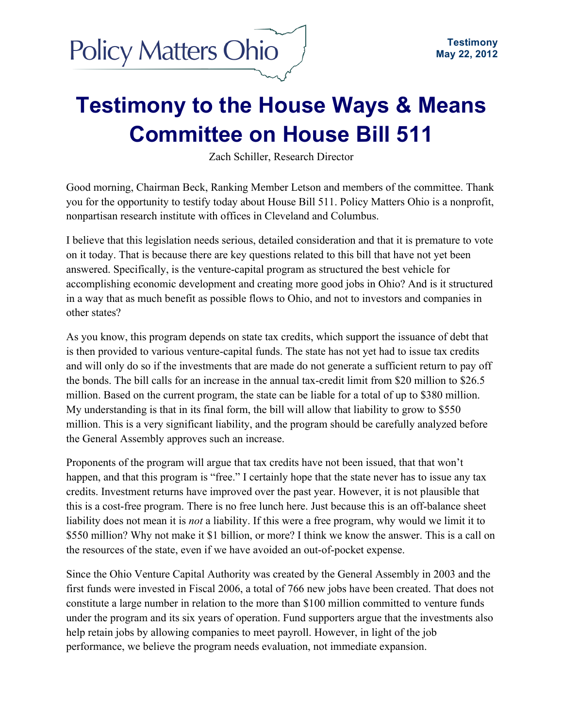## **Testimony to the House Ways & Means Committee on House Bill 511**

Zach Schiller, Research Director

Good morning, Chairman Beck, Ranking Member Letson and members of the committee. Thank you for the opportunity to testify today about House Bill 511. Policy Matters Ohio is a nonprofit, nonpartisan research institute with offices in Cleveland and Columbus.

I believe that this legislation needs serious, detailed consideration and that it is premature to vote on it today. That is because there are key questions related to this bill that have not yet been answered. Specifically, is the venture-capital program as structured the best vehicle for accomplishing economic development and creating more good jobs in Ohio? And is it structured in a way that as much benefit as possible flows to Ohio, and not to investors and companies in other states?

As you know, this program depends on state tax credits, which support the issuance of debt that is then provided to various venture-capital funds. The state has not yet had to issue tax credits and will only do so if the investments that are made do not generate a sufficient return to pay off the bonds. The bill calls for an increase in the annual tax-credit limit from \$20 million to \$26.5 million. Based on the current program, the state can be liable for a total of up to \$380 million. My understanding is that in its final form, the bill will allow that liability to grow to \$550 million. This is a very significant liability, and the program should be carefully analyzed before the General Assembly approves such an increase.

Proponents of the program will argue that tax credits have not been issued, that that won't happen, and that this program is "free." I certainly hope that the state never has to issue any tax credits. Investment returns have improved over the past year. However, it is not plausible that this is a cost-free program. There is no free lunch here. Just because this is an off-balance sheet liability does not mean it is *not* a liability. If this were a free program, why would we limit it to \$550 million? Why not make it \$1 billion, or more? I think we know the answer. This is a call on the resources of the state, even if we have avoided an out-of-pocket expense.

Since the Ohio Venture Capital Authority was created by the General Assembly in 2003 and the first funds were invested in Fiscal 2006, a total of 766 new jobs have been created. That does not constitute a large number in relation to the more than \$100 million committed to venture funds under the program and its six years of operation. Fund supporters argue that the investments also help retain jobs by allowing companies to meet payroll. However, in light of the job performance, we believe the program needs evaluation, not immediate expansion.